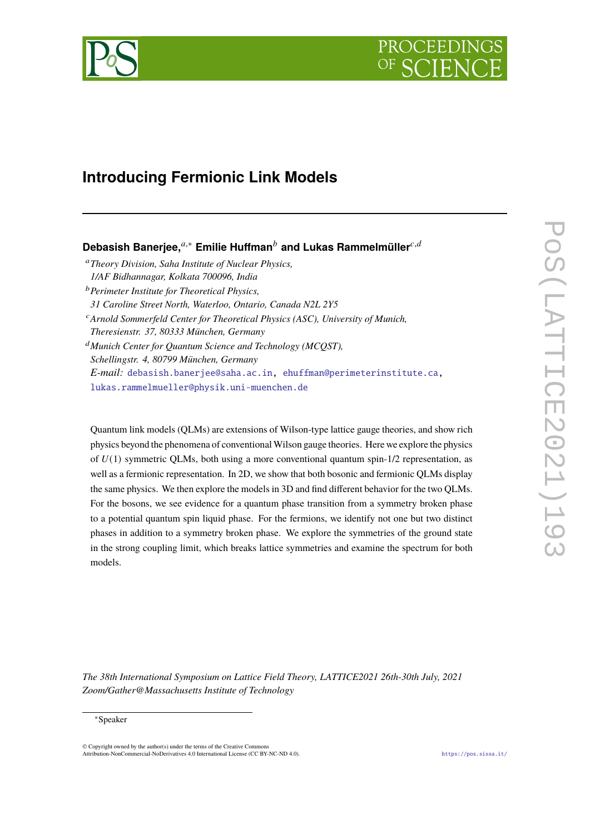# PROCEEDIN

## **Introducing Fermionic Link Models**

### **Debasish Banerjee,**<sup>a,∗</sup> **Emilie Huffman**<sup>*b*</sup> and Lukas Rammelmüller<sup>c,*d*</sup>

- <sup>𝑎</sup>*Theory Division, Saha Institute of Nuclear Physics, 1/AF Bidhannagar, Kolkata 700096, India*
- <sup>𝑏</sup>*Perimeter Institute for Theoretical Physics, 31 Caroline Street North, Waterloo, Ontario, Canada N2L 2Y5*
- <sup>c</sup> Arnold Sommerfeld Center for Theoretical Physics (ASC), University of Munich, *Theresienstr. 37, 80333 München, Germany*

<sup>𝑑</sup>*Munich Center for Quantum Science and Technology (MCQST), Schellingstr. 4, 80799 München, Germany E-mail:* [debasish.banerjee@saha.ac.in,](mailto:debasish.banerjee@saha.ac.in) [ehuffman@perimeterinstitute.ca,](mailto:ehuffman@perimeterinstitute.ca) [lukas.rammelmueller@physik.uni-muenchen.de](mailto:lukas.rammelmueller@physik.uni-muenchen.de)

Quantum link models (QLMs) are extensions of Wilson-type lattice gauge theories, and show rich physics beyond the phenomena of conventional Wilson gauge theories. Here we explore the physics of  $U(1)$  symmetric QLMs, both using a more conventional quantum spin-1/2 representation, as well as a fermionic representation. In 2D, we show that both bosonic and fermionic QLMs display the same physics. We then explore the models in 3D and find different behavior for the two QLMs. For the bosons, we see evidence for a quantum phase transition from a symmetry broken phase to a potential quantum spin liquid phase. For the fermions, we identify not one but two distinct phases in addition to a symmetry broken phase. We explore the symmetries of the ground state in the strong coupling limit, which breaks lattice symmetries and examine the spectrum for both models.

*The 38th International Symposium on Lattice Field Theory, LATTICE2021 26th-30th July, 2021 Zoom/Gather@Massachusetts Institute of Technology*

#### ∗Speaker

 $\odot$  Copyright owned by the author(s) under the terms of the Creative Common Attribution-NonCommercial-NoDerivatives 4.0 International License (CC BY-NC-ND 4.0). <https://pos.sissa.it/>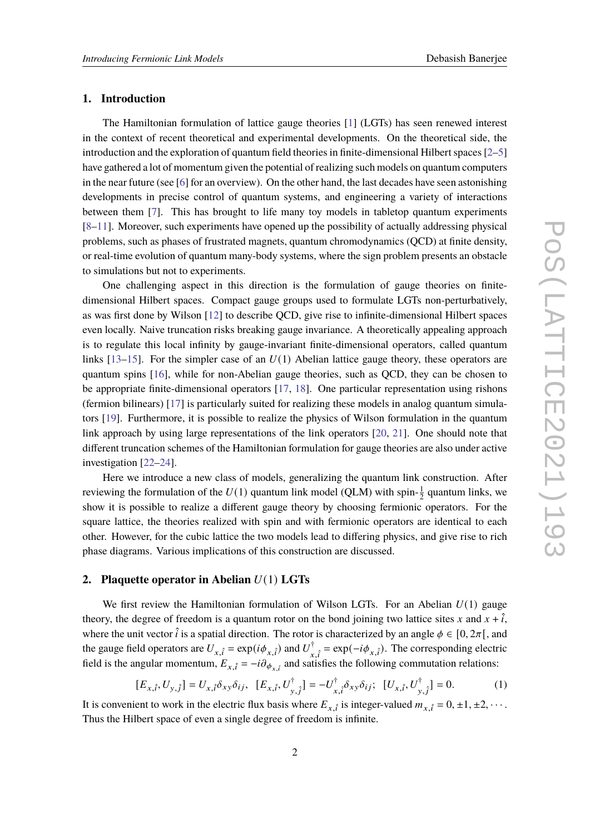#### **1. Introduction**

The Hamiltonian formulation of lattice gauge theories [\[1\]](#page-7-0) (LGTs) has seen renewed interest in the context of recent theoretical and experimental developments. On the theoretical side, the introduction and the exploration of quantum field theories in finite-dimensional Hilbert spaces [\[2](#page-7-1)[–5\]](#page-7-2) have gathered a lot of momentum given the potential of realizing such models on quantum computers in the near future (see [\[6\]](#page-7-3) for an overview). On the other hand, the last decades have seen astonishing developments in precise control of quantum systems, and engineering a variety of interactions between them [\[7\]](#page-7-4). This has brought to life many toy models in tabletop quantum experiments [\[8](#page-7-5)[–11\]](#page-7-6). Moreover, such experiments have opened up the possibility of actually addressing physical problems, such as phases of frustrated magnets, quantum chromodynamics (QCD) at finite density, or real-time evolution of quantum many-body systems, where the sign problem presents an obstacle to simulations but not to experiments.

One challenging aspect in this direction is the formulation of gauge theories on finitedimensional Hilbert spaces. Compact gauge groups used to formulate LGTs non-perturbatively, as was first done by Wilson [\[12\]](#page-7-7) to describe QCD, give rise to infinite-dimensional Hilbert spaces even locally. Naive truncation risks breaking gauge invariance. A theoretically appealing approach is to regulate this local infinity by gauge-invariant finite-dimensional operators, called quantum links  $[13–15]$  $[13–15]$ . For the simpler case of an  $U(1)$  Abelian lattice gauge theory, these operators are quantum spins [\[16\]](#page-8-1), while for non-Abelian gauge theories, such as QCD, they can be chosen to be appropriate finite-dimensional operators [\[17,](#page-8-2) [18\]](#page-8-3). One particular representation using rishons (fermion bilinears) [\[17\]](#page-8-2) is particularly suited for realizing these models in analog quantum simulators [\[19\]](#page-8-4). Furthermore, it is possible to realize the physics of Wilson formulation in the quantum link approach by using large representations of the link operators [\[20,](#page-8-5) [21\]](#page-8-6). One should note that different truncation schemes of the Hamiltonian formulation for gauge theories are also under active investigation [\[22](#page-8-7)[–24\]](#page-8-8).

Here we introduce a new class of models, generalizing the quantum link construction. After reviewing the formulation of the  $U(1)$  quantum link model (QLM) with spin- $\frac{1}{2}$  quantum links, we show it is possible to realize a different gauge theory by choosing fermionic operators. For the square lattice, the theories realized with spin and with fermionic operators are identical to each other. However, for the cubic lattice the two models lead to differing physics, and give rise to rich phase diagrams. Various implications of this construction are discussed.

#### **2. Plaquette operator in Abelian**  $U(1)$  LGTs

We first review the Hamiltonian formulation of Wilson LGTs. For an Abelian  $U(1)$  gauge theory, the degree of freedom is a quantum rotor on the bond joining two lattice sites x and  $x + \hat{i}$ , where the unit vector  $\hat{i}$  is a spatial direction. The rotor is characterized by an angle  $\phi \in [0, 2\pi]$ , and the gauge field operators are  $U_{x,\hat{i}} = \exp(i\phi_{x,\hat{i}})$  and  $U_{x,\hat{i}}^{\dagger} = \exp(-i\phi_{x,\hat{i}})$ . The corresponding electric field is the angular momentum,  $E_{x,\hat{i}} = -i\partial_{\phi_{x,\hat{i}}}$  and satisfies the following commutation relations:

<span id="page-1-0"></span>
$$
[E_{x,\hat{i}}, U_{y,\hat{j}}] = U_{x,\hat{i}} \delta_{xy} \delta_{ij}, \ \ [E_{x,\hat{i}}, U_{y,\hat{j}}^{\dagger}] = -U_{x,\hat{i}}^{\dagger} \delta_{xy} \delta_{ij}; \ \ [U_{x,\hat{i}}, U_{y,\hat{j}}^{\dagger}] = 0. \tag{1}
$$

It is convenient to work in the electric flux basis where  $E_{x,\hat{i}}$  is integer-valued  $m_{x,\hat{i}} = 0, \pm 1, \pm 2, \cdots$ . Thus the Hilbert space of even a single degree of freedom is infinite.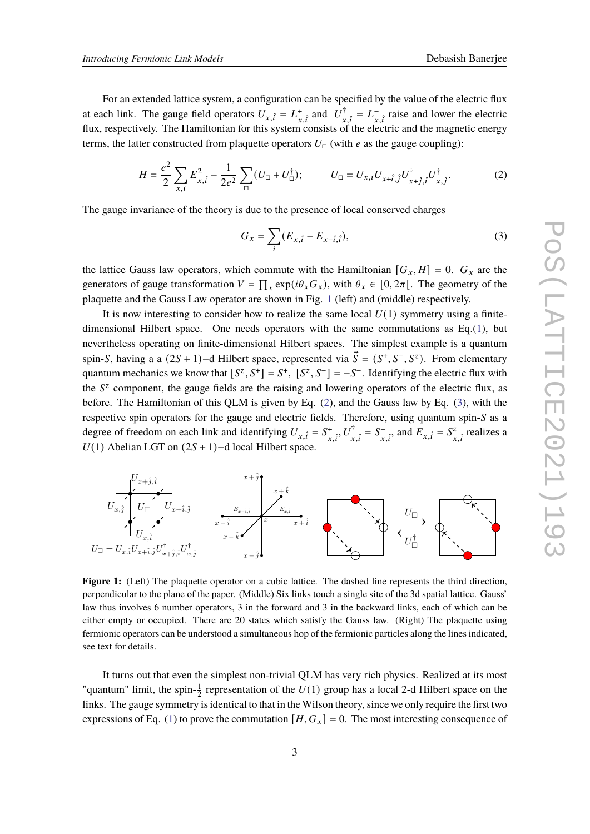For an extended lattice system, a configuration can be specified by the value of the electric flux at each link. The gauge field operators  $U_{x,\hat{i}} = L_{\hat{i},\hat{i}}^+$  and  $U_{\hat{i},\hat{i}}^{\dagger} = L_{\hat{i},\hat{i}}^-$  raise and lower the electric flux, respectively. The Hamiltonian for this system consists of the electric and the magnetic energy terms, the latter constructed from plaquette operators  $U_{\square}$  (with e as the gauge coupling):

<span id="page-2-1"></span>
$$
H = \frac{e^2}{2} \sum_{x,i} E_{x,\hat{i}}^2 - \frac{1}{2e^2} \sum_{\square} (U_{\square} + U_{\square}^{\dagger}); \qquad U_{\square} = U_{x,i} U_{x+\hat{i},\hat{j}} U_{x+\hat{j},\hat{i}}^{\dagger} U_{x,\hat{j}}^{\dagger}. \tag{2}
$$

The gauge invariance of the theory is due to the presence of local conserved charges

<span id="page-2-2"></span>
$$
G_x = \sum_{i} (E_{x,\hat{i}} - E_{x-\hat{i},\hat{i}}),
$$
\n(3)

the lattice Gauss law operators, which commute with the Hamiltonian  $[G_x, H] = 0$ .  $G_x$  are the generators of gauge transformation  $V = \prod_x \exp(i\theta_x G_x)$ , with  $\theta_x \in [0, 2\pi]$ . The geometry of the plaquette and the Gauss Law operator are shown in Fig. [1](#page-2-0) (left) and (middle) respectively.

It is now interesting to consider how to realize the same local  $U(1)$  symmetry using a finite-dimensional Hilbert space. One needs operators with the same commutations as Eq.[\(1\)](#page-1-0), but nevertheless operating on finite-dimensional Hilbert spaces. The simplest example is a quantum spin-S, having a a  $(2S + 1)$ -d Hilbert space, represented via  $\vec{S} = (S^+, S^-, S^z)$ . From elementary quantum mechanics we know that  $[S^z, S^+] = S^+$ ,  $[S^z, S^-] = -S^-$ . Identifying the electric flux with the  $S<sup>z</sup>$  component, the gauge fields are the raising and lowering operators of the electric flux, as before. The Hamiltonian of this QLM is given by Eq. [\(2\)](#page-2-1), and the Gauss law by Eq. [\(3\)](#page-2-2), with the respective spin operators for the gauge and electric fields. Therefore, using quantum spin- $S$  as a degree of freedom on each link and identifying  $U_{x,\hat{i}} = S^*_{x,\hat{i}}, U^{\dagger}_{x,\hat{i}} = S^-_{x,\hat{i}},$  and  $E_{x,\hat{i}} = S^2_{x,\hat{i}}$  $\sum_{x,\hat{i}}^z$  realizes a  $U(1)$  Abelian LGT on  $(2S + 1)$ -d local Hilbert space.

<span id="page-2-0"></span>

**Figure 1:** (Left) The plaquette operator on a cubic lattice. The dashed line represents the third direction, perpendicular to the plane of the paper. (Middle) Six links touch a single site of the 3d spatial lattice. Gauss' law thus involves 6 number operators, 3 in the forward and 3 in the backward links, each of which can be either empty or occupied. There are 20 states which satisfy the Gauss law. (Right) The plaquette using fermionic operators can be understood a simultaneous hop of the fermionic particles along the lines indicated, see text for details.

It turns out that even the simplest non-trivial QLM has very rich physics. Realized at its most "quantum" limit, the spin- $\frac{1}{2}$  representation of the  $U(1)$  group has a local 2-d Hilbert space on the links. The gauge symmetry is identical to that in the Wilson theory, since we only require the first two expressions of Eq. [\(1\)](#page-1-0) to prove the commutation  $[H, G_x] = 0$ . The most interesting consequence of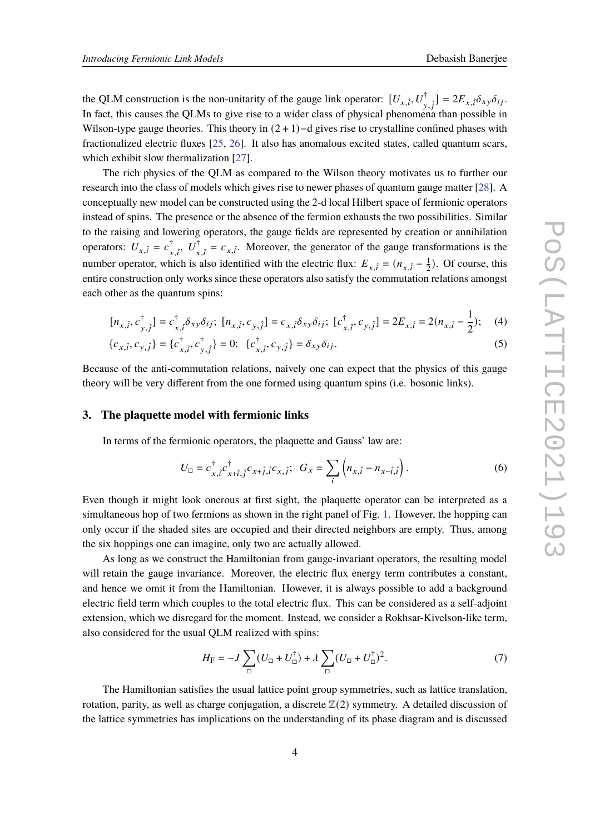the QLM construction is the non-unitarity of the gauge link operator:  $[U_{x,\hat{i}}, U_{y,\hat{i}}^{\dagger}] = 2E_{x,\hat{i}} \delta_{xy} \delta_{ij}$ . In fact, this causes the QLMs to give rise to a wider class of physical phenomena than possible in Wilson-type gauge theories. This theory in  $(2 + 1)-d$  gives rise to crystalline confined phases with fractionalized electric fluxes [\[25,](#page-8-9) [26\]](#page-8-10). It also has anomalous excited states, called quantum scars, which exhibit slow thermalization [\[27\]](#page-8-11).

The rich physics of the QLM as compared to the Wilson theory motivates us to further our research into the class of models which gives rise to newer phases of quantum gauge matter [\[28\]](#page-8-12). A conceptually new model can be constructed using the 2-d local Hilbert space of fermionic operators instead of spins. The presence or the absence of the fermion exhausts the two possibilities. Similar to the raising and lowering operators, the gauge fields are represented by creation or annihilation operators:  $U_{x,\hat{i}} = c_{x,\hat{i}}^{\dagger}$ ,  $U_{x,\hat{i}}^{\dagger} = c_{x,\hat{i}}^{\dagger}$ . Moreover, the generator of the gauge transformations is the number operator, which is also identified with the electric flux:  $E_{x,\hat{i}} = (n_{x,\hat{i}} - \frac{1}{2})$  $\frac{1}{2}$ ). Of course, this entire construction only works since these operators also satisfy the commutation relations amongst each other as the quantum spins:

$$
[n_{x,\hat{i}}, c^{\dagger}_{y,\hat{j}}] = c^{\dagger}_{x,\hat{i}} \delta_{xy} \delta_{ij}; \ [n_{x,\hat{i}}, c_{y,\hat{j}}] = c_{x,\hat{i}} \delta_{xy} \delta_{ij}; \ [c^{\dagger}_{x,\hat{i}}, c_{y,\hat{j}}] = 2E_{x,\hat{i}} = 2(n_{x,\hat{i}} - \frac{1}{2}); \quad (4)
$$

$$
\{c_{x,\hat{i}}, c_{y,\hat{j}}\} = \{c_{x,\hat{i}}^{\dagger}, c_{y,\hat{j}}^{\dagger}\} = 0; \ \{c_{x,\hat{i}}^{\dagger}, c_{y,\hat{j}}\} = \delta_{xy}\delta_{ij}.
$$

Because of the anti-commutation relations, naively one can expect that the physics of this gauge theory will be very different from the one formed using quantum spins (i.e. bosonic links).

#### **3. The plaquette model with fermionic links**

In terms of the fermionic operators, the plaquette and Gauss' law are:

<span id="page-3-1"></span>
$$
U_{\Box} = c_{x,\hat{i}}^{\dagger} c_{x+\hat{i},\hat{j}}^{\dagger} c_{x+\hat{j},\hat{i}} c_{x,\hat{j}}; \ \ G_{x} = \sum_{i} \left( n_{x,\hat{i}} - n_{x-\hat{i},\hat{i}} \right). \tag{6}
$$

Even though it might look onerous at first sight, the plaquette operator can be interpreted as a simultaneous hop of two fermions as shown in the right panel of Fig. [1.](#page-2-0) However, the hopping can only occur if the shaded sites are occupied and their directed neighbors are empty. Thus, among the six hoppings one can imagine, only two are actually allowed.

As long as we construct the Hamiltonian from gauge-invariant operators, the resulting model will retain the gauge invariance. Moreover, the electric flux energy term contributes a constant, and hence we omit it from the Hamiltonian. However, it is always possible to add a background electric field term which couples to the total electric flux. This can be considered as a self-adjoint extension, which we disregard for the moment. Instead, we consider a Rokhsar-Kivelson-like term, also considered for the usual QLM realized with spins:

<span id="page-3-0"></span>
$$
H_{\rm F} = -J\sum_{\Box} (U_{\Box} + U_{\Box}^{\dagger}) + \lambda \sum_{\Box} (U_{\Box} + U_{\Box}^{\dagger})^2. \tag{7}
$$

The Hamiltonian satisfies the usual lattice point group symmetries, such as lattice translation, rotation, parity, as well as charge conjugation, a discrete  $\mathbb{Z}(2)$  symmetry. A detailed discussion of the lattice symmetries has implications on the understanding of its phase diagram and is discussed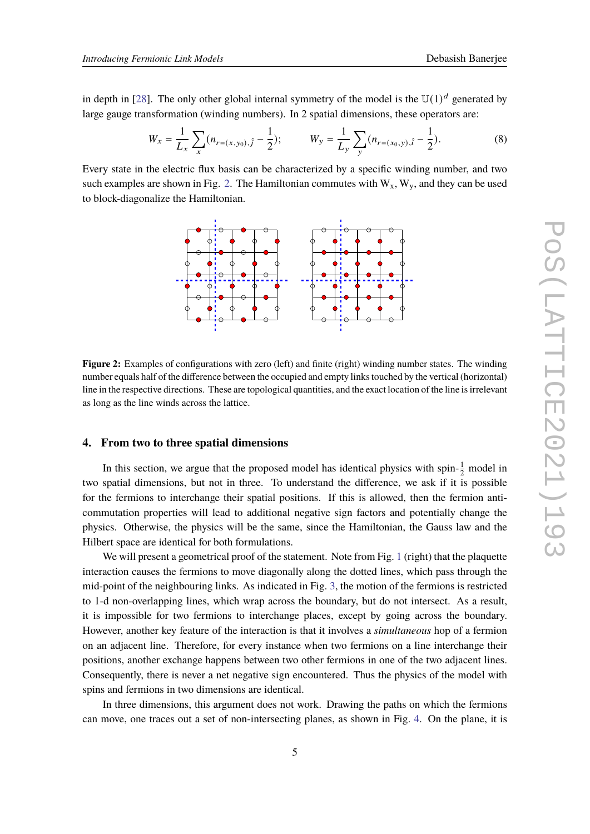in depth in [\[28\]](#page-8-12). The only other global internal symmetry of the model is the  $\mathbb{U}(1)^d$  generated by large gauge transformation (winding numbers). In 2 spatial dimensions, these operators are:

$$
W_x = \frac{1}{L_x} \sum_x (n_{r=(x,y_0),\hat{j}} - \frac{1}{2}); \qquad W_y = \frac{1}{L_y} \sum_y (n_{r=(x_0,y),\hat{i}} - \frac{1}{2}).
$$
 (8)

<span id="page-4-0"></span>Every state in the electric flux basis can be characterized by a specific winding number, and two such examples are shown in Fig. [2.](#page-4-0) The Hamiltonian commutes with  $W_x$ ,  $W_y$ , and they can be used to block-diagonalize the Hamiltonian.



**Figure 2:** Examples of configurations with zero (left) and finite (right) winding number states. The winding number equals half of the difference between the occupied and empty links touched by the vertical (horizontal) line in the respective directions. These are topological quantities, and the exact location of the line is irrelevant as long as the line winds across the lattice.

#### **4. From two to three spatial dimensions**

In this section, we argue that the proposed model has identical physics with spin- $\frac{1}{2}$  model in two spatial dimensions, but not in three. To understand the difference, we ask if it is possible for the fermions to interchange their spatial positions. If this is allowed, then the fermion anticommutation properties will lead to additional negative sign factors and potentially change the physics. Otherwise, the physics will be the same, since the Hamiltonian, the Gauss law and the Hilbert space are identical for both formulations.

We will present a geometrical proof of the statement. Note from Fig. [1](#page-2-0) (right) that the plaquette interaction causes the fermions to move diagonally along the dotted lines, which pass through the mid-point of the neighbouring links. As indicated in Fig. [3,](#page-5-0) the motion of the fermions is restricted to 1-d non-overlapping lines, which wrap across the boundary, but do not intersect. As a result, it is impossible for two fermions to interchange places, except by going across the boundary. However, another key feature of the interaction is that it involves a *simultaneous* hop of a fermion on an adjacent line. Therefore, for every instance when two fermions on a line interchange their positions, another exchange happens between two other fermions in one of the two adjacent lines. Consequently, there is never a net negative sign encountered. Thus the physics of the model with spins and fermions in two dimensions are identical.

In three dimensions, this argument does not work. Drawing the paths on which the fermions can move, one traces out a set of non-intersecting planes, as shown in Fig. [4.](#page-5-1) On the plane, it is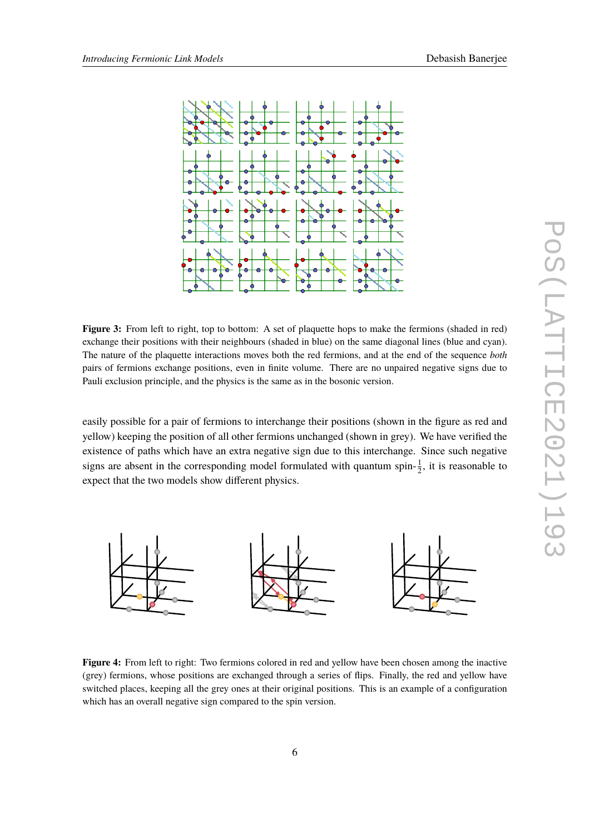<span id="page-5-0"></span>

**Figure 3:** From left to right, top to bottom: A set of plaquette hops to make the fermions (shaded in red) exchange their positions with their neighbours (shaded in blue) on the same diagonal lines (blue and cyan). The nature of the plaquette interactions moves both the red fermions, and at the end of the sequence *both* pairs of fermions exchange positions, even in finite volume. There are no unpaired negative signs due to Pauli exclusion principle, and the physics is the same as in the bosonic version.

easily possible for a pair of fermions to interchange their positions (shown in the figure as red and yellow) keeping the position of all other fermions unchanged (shown in grey). We have verified the existence of paths which have an extra negative sign due to this interchange. Since such negative signs are absent in the corresponding model formulated with quantum spin- $\frac{1}{2}$ , it is reasonable to expect that the two models show different physics.

<span id="page-5-1"></span>

**Figure 4:** From left to right: Two fermions colored in red and yellow have been chosen among the inactive (grey) fermions, whose positions are exchanged through a series of flips. Finally, the red and yellow have switched places, keeping all the grey ones at their original positions. This is an example of a configuration which has an overall negative sign compared to the spin version.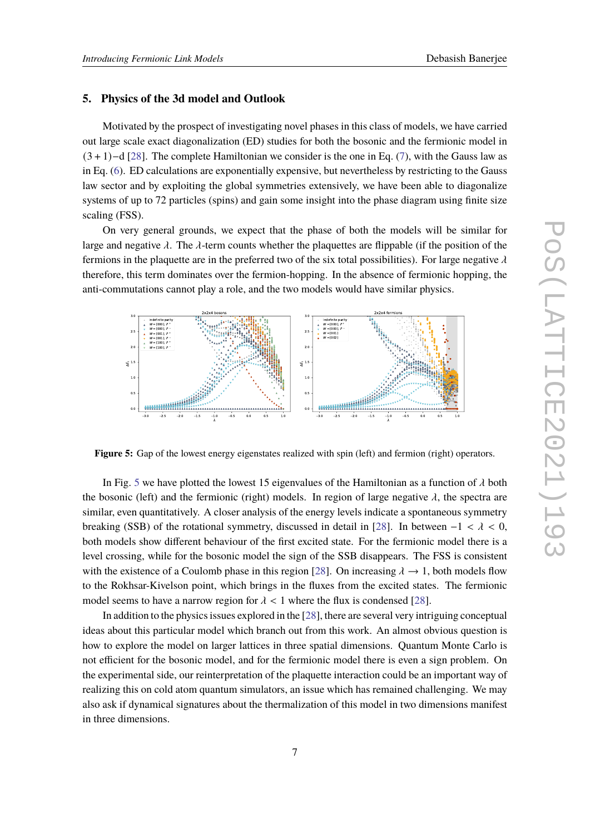#### **5. Physics of the 3d model and Outlook**

Motivated by the prospect of investigating novel phases in this class of models, we have carried out large scale exact diagonalization (ED) studies for both the bosonic and the fermionic model in (3 + 1)−d [\[28\]](#page-8-12). The complete Hamiltonian we consider is the one in Eq. [\(7\)](#page-3-0), with the Gauss law as in Eq. [\(6\)](#page-3-1). ED calculations are exponentially expensive, but nevertheless by restricting to the Gauss law sector and by exploiting the global symmetries extensively, we have been able to diagonalize systems of up to 72 particles (spins) and gain some insight into the phase diagram using finite size scaling (FSS).

On very general grounds, we expect that the phase of both the models will be similar for large and negative  $\lambda$ . The  $\lambda$ -term counts whether the plaquettes are flippable (if the position of the fermions in the plaquette are in the preferred two of the six total possibilities). For large negative  $\lambda$ therefore, this term dominates over the fermion-hopping. In the absence of fermionic hopping, the anti-commutations cannot play a role, and the two models would have similar physics.

<span id="page-6-0"></span>

**Figure 5:** Gap of the lowest energy eigenstates realized with spin (left) and fermion (right) operators.

In Fig. [5](#page-6-0) we have plotted the lowest 15 eigenvalues of the Hamiltonian as a function of  $\lambda$  both the bosonic (left) and the fermionic (right) models. In region of large negative  $\lambda$ , the spectra are similar, even quantitatively. A closer analysis of the energy levels indicate a spontaneous symmetry breaking (SSB) of the rotational symmetry, discussed in detail in [\[28\]](#page-8-12). In between  $-1 < \lambda < 0$ , both models show different behaviour of the first excited state. For the fermionic model there is a level crossing, while for the bosonic model the sign of the SSB disappears. The FSS is consistent with the existence of a Coulomb phase in this region [\[28\]](#page-8-12). On increasing  $\lambda \rightarrow 1$ , both models flow to the Rokhsar-Kivelson point, which brings in the fluxes from the excited states. The fermionic model seems to have a narrow region for  $\lambda < 1$  where the flux is condensed [\[28\]](#page-8-12).

In addition to the physics issues explored in the [\[28\]](#page-8-12), there are several very intriguing conceptual ideas about this particular model which branch out from this work. An almost obvious question is how to explore the model on larger lattices in three spatial dimensions. Quantum Monte Carlo is not efficient for the bosonic model, and for the fermionic model there is even a sign problem. On the experimental side, our reinterpretation of the plaquette interaction could be an important way of realizing this on cold atom quantum simulators, an issue which has remained challenging. We may also ask if dynamical signatures about the thermalization of this model in two dimensions manifest in three dimensions.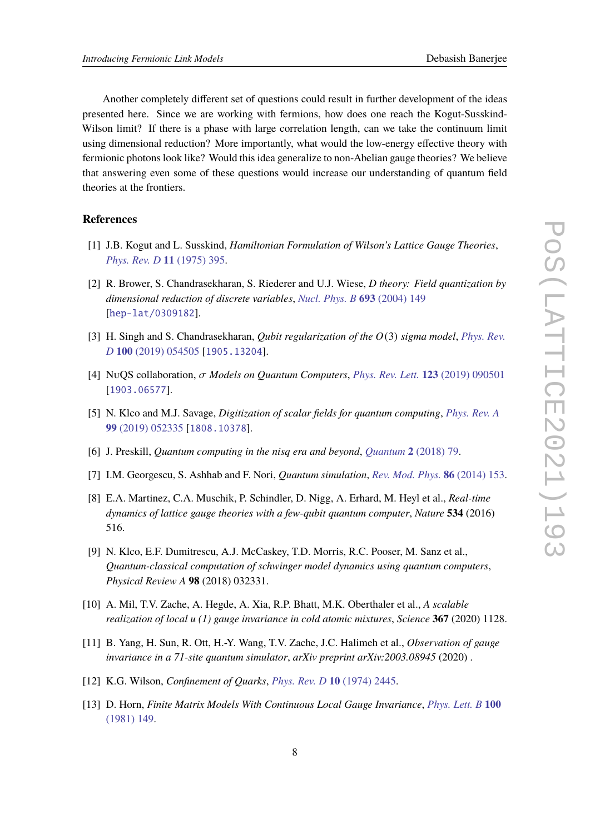Another completely different set of questions could result in further development of the ideas presented here. Since we are working with fermions, how does one reach the Kogut-Susskind-Wilson limit? If there is a phase with large correlation length, can we take the continuum limit using dimensional reduction? More importantly, what would the low-energy effective theory with fermionic photons look like? Would this idea generalize to non-Abelian gauge theories? We believe that answering even some of these questions would increase our understanding of quantum field theories at the frontiers.

#### **References**

- <span id="page-7-0"></span>[1] J.B. Kogut and L. Susskind, *Hamiltonian Formulation of Wilson's Lattice Gauge Theories*, *[Phys. Rev. D](https://doi.org/10.1103/PhysRevD.11.395)* **11** (1975) 395.
- <span id="page-7-1"></span>[2] R. Brower, S. Chandrasekharan, S. Riederer and U.J. Wiese, *D theory: Field quantization by dimensional reduction of discrete variables*, *[Nucl. Phys. B](https://doi.org/10.1016/j.nuclphysb.2004.06.007)* **693** (2004) 149 [[hep-lat/0309182](https://arxiv.org/abs/hep-lat/0309182)].
- [3] H. Singh and S. Chandrasekharan, *Qubit regularization of the*  $O(3)$  *sigma model*, *[Phys. Rev.](https://doi.org/10.1103/PhysRevD.100.054505) D* **100** [\(2019\) 054505](https://doi.org/10.1103/PhysRevD.100.054505) [[1905.13204](https://arxiv.org/abs/1905.13204)].
- [4] NuQS collaboration,  $\sigma$  *Models on Quantum Computers*, *[Phys. Rev. Lett.](https://doi.org/10.1103/PhysRevLett.123.090501)* **123** (2019) 090501 [[1903.06577](https://arxiv.org/abs/1903.06577)].
- <span id="page-7-2"></span>[5] N. Klco and M.J. Savage, *Digitization of scalar fields for quantum computing*, *[Phys. Rev. A](https://doi.org/10.1103/PhysRevA.99.052335)* **99** [\(2019\) 052335](https://doi.org/10.1103/PhysRevA.99.052335) [[1808.10378](https://arxiv.org/abs/1808.10378)].
- <span id="page-7-3"></span>[6] J. Preskill, *Quantum computing in the nisq era and beyond*, *[Quantum](https://doi.org/10.22331/q-2018-08-06-79)* **2** (2018) 79.
- <span id="page-7-4"></span>[7] I.M. Georgescu, S. Ashhab and F. Nori, *Quantum simulation*, *[Rev. Mod. Phys.](https://doi.org/10.1103/RevModPhys.86.153)* **86** (2014) 153.
- <span id="page-7-5"></span>[8] E.A. Martinez, C.A. Muschik, P. Schindler, D. Nigg, A. Erhard, M. Heyl et al., *Real-time dynamics of lattice gauge theories with a few-qubit quantum computer*, *Nature* **534** (2016) 516.
- [9] N. Klco, E.F. Dumitrescu, A.J. McCaskey, T.D. Morris, R.C. Pooser, M. Sanz et al., *Quantum-classical computation of schwinger model dynamics using quantum computers*, *Physical Review A* **98** (2018) 032331.
- [10] A. Mil, T.V. Zache, A. Hegde, A. Xia, R.P. Bhatt, M.K. Oberthaler et al., *A scalable realization of local u (1) gauge invariance in cold atomic mixtures*, *Science* **367** (2020) 1128.
- <span id="page-7-6"></span>[11] B. Yang, H. Sun, R. Ott, H.-Y. Wang, T.V. Zache, J.C. Halimeh et al., *Observation of gauge invariance in a 71-site quantum simulator*, *arXiv preprint arXiv:2003.08945* (2020) .
- <span id="page-7-7"></span>[12] K.G. Wilson, *Confinement of Quarks*, *[Phys. Rev. D](https://doi.org/10.1103/PhysRevD.10.2445)* **10** (1974) 2445.
- <span id="page-7-8"></span>[13] D. Horn, *Finite Matrix Models With Continuous Local Gauge Invariance*, *[Phys. Lett. B](https://doi.org/10.1016/0370-2693(81)90763-2)* **100** [\(1981\) 149.](https://doi.org/10.1016/0370-2693(81)90763-2)